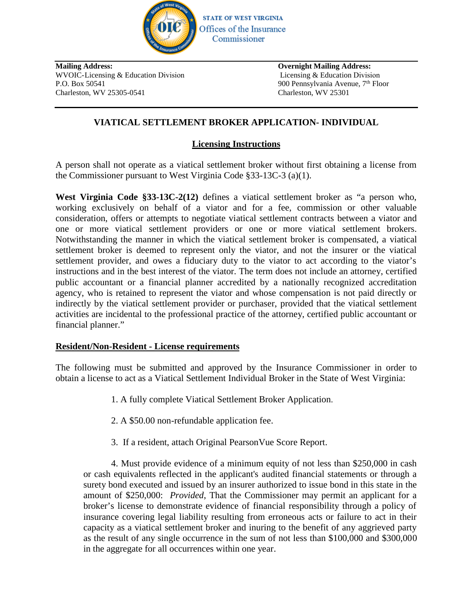

**Mailing Address:** WVOIC-Licensing & Education Division Mailing Address:<br>
WVOIC-Licensing & Education Division<br>
P.O. Box 50541 900 Pennsylvania Avenue, 7<sup>th</sup> Floor<br>
Charleston, WV 25305-0541 900 Pennsylvania Avenue, 7<sup>th</sup> Floor **Charlest Charlest Charlest Charlest Charlest Charlest Charlest Charlest Charlest Charlest Charleston, WV 25305-0541**<br>
Charleston, WV 25305-0541<br>
Charleston, WV 25305-0541<br>
Charleston, WV 25301

**Overnight Mailing Address:** Licensing & Education Division

### **VIATICAL SETTLEMENT BROKER APPLICATION- INDIVIDUAL**

### **Licensing Instructions**

A person shall not operate as a viatical settlement broker without first obtaining a license from the Commissioner pursuant to West Virginia Code §33-13C-3 (a)(1).

**West Virginia Code §33-13C-2(12)** defines a viatical settlement broker as "a person who, working exclusively on behalf of a viator and for a fee, commission or other valuable consideration, offers or attempts to negotiate viatical settlement contracts between a viator and one or more viatical settlement providers or one or more viatical settlement brokers. Notwithstanding the manner in which the viatical settlement broker is compensated, a viatical settlement broker is deemed to represent only the viator, and not the insurer or the viatical settlement provider, and owes a fiduciary duty to the viator to act according to the viator's instructions and in the best interest of the viator. The term does not include an attorney, certified public accountant or a financial planner accredited by a nationally recognized accreditation agency, who is retained to represent the viator and whose compensation is not paid directly or indirectly by the viatical settlement provider or purchaser, provided that the viatical settlement activities are incidental to the professional practice of the attorney, certified public accountant or financial planner."

### **Resident/Non-Resident - License requirements**

The following must be submitted and approved by the Insurance Commissioner in order to obtain a license to act as a Viatical Settlement Individual Broker in the State of West Virginia:

- 1. A fully complete Viatical Settlement Broker Application.
- 2. A \$50.00 non-refundable application fee.
- 3. If a resident, attach Original PearsonVue Score Report.

4. Must provide evidence of a minimum equity of not less than \$250,000 in cash or cash equivalents reflected in the applicant's audited financial statements or through a surety bond executed and issued by an insurer authorized to issue bond in this state in the amount of \$250,000: *Provided*, That the Commissioner may permit an applicant for a broker's license to demonstrate evidence of financial responsibility through a policy of insurance covering legal liability resulting from erroneous acts or failure to act in their capacity as a viatical settlement broker and inuring to the benefit of any aggrieved party as the result of any single occurrence in the sum of not less than \$100,000 and \$300,000 in the aggregate for all occurrences within one year.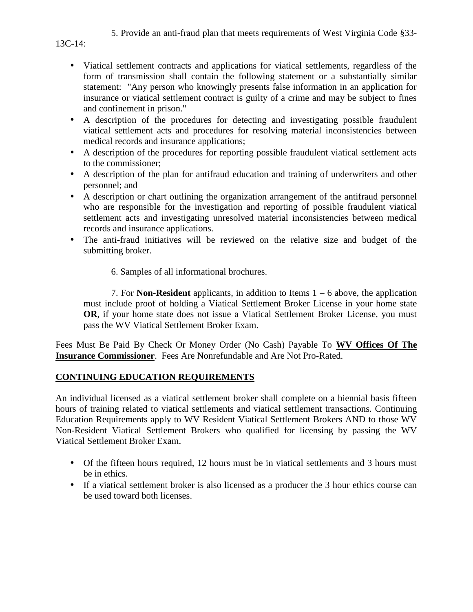### 5. Provide an anti-fraud plan that meets requirements of West Virginia Code §33-

#### 13C-14:

- Viatical settlement contracts and applications for viatical settlements, regardless of the form of transmission shall contain the following statement or a substantially similar statement: "Any person who knowingly presents false information in an application for insurance or viatical settlement contract is guilty of a crime and may be subject to fines and confinement in prison."
- A description of the procedures for detecting and investigating possible fraudulent viatical settlement acts and procedures for resolving material inconsistencies between medical records and insurance applications;
- A description of the procedures for reporting possible fraudulent viatical settlement acts to the commissioner;
- A description of the plan for antifraud education and training of underwriters and other personnel; and
- A description or chart outlining the organization arrangement of the antifraud personnel who are responsible for the investigation and reporting of possible fraudulent viatical settlement acts and investigating unresolved material inconsistencies between medical records and insurance applications.
- The anti-fraud initiatives will be reviewed on the relative size and budget of the submitting broker.
	- 6. Samples of all informational brochures.

7. For **Non-Resident** applicants, in addition to Items 1 – 6 above, the application must include proof of holding a Viatical Settlement Broker License in your home state **OR**, if your home state does not issue a Viatical Settlement Broker License, you must pass the WV Viatical Settlement Broker Exam.

Fees Must Be Paid By Check Or Money Order (No Cash) Payable To **WV Offices Of The Insurance Commissioner**. Fees Are Nonrefundable and Are Not Pro-Rated.

### **CONTINUING EDUCATION REQUIREMENTS**

An individual licensed as a viatical settlement broker shall complete on a biennial basis fifteen hours of training related to viatical settlements and viatical settlement transactions. Continuing Education Requirements apply to WV Resident Viatical Settlement Brokers AND to those WV Non-Resident Viatical Settlement Brokers who qualified for licensing by passing the WV Viatical Settlement Broker Exam.

- Of the fifteen hours required, 12 hours must be in viatical settlements and 3 hours must be in ethics.
- If a viatical settlement broker is also licensed as a producer the 3 hour ethics course can be used toward both licenses.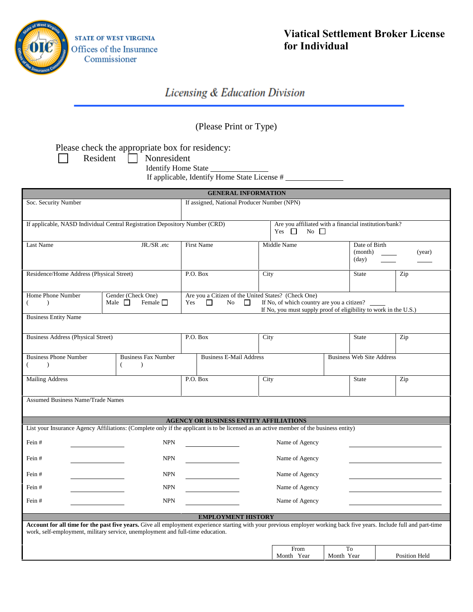

# **Viatical Settlement Broker License for Individual**

# Licensing & Education Division

# (Please Print or Type)

Please check the appropriate box for residency:

 $\Box$ 

Resident | Nonresident

Identify Home State \_\_\_\_\_\_\_

If applicable, Identify Home State License #

|                                                                             |                                                                                                                                                                                                                                                         |                                                                            | <b>GENERAL INFORMATION</b>     |                                                                                                                |                                  |                         |  |
|-----------------------------------------------------------------------------|---------------------------------------------------------------------------------------------------------------------------------------------------------------------------------------------------------------------------------------------------------|----------------------------------------------------------------------------|--------------------------------|----------------------------------------------------------------------------------------------------------------|----------------------------------|-------------------------|--|
| Soc. Security Number                                                        |                                                                                                                                                                                                                                                         | If assigned, National Producer Number (NPN)                                |                                |                                                                                                                |                                  |                         |  |
|                                                                             |                                                                                                                                                                                                                                                         |                                                                            |                                |                                                                                                                |                                  |                         |  |
| If applicable, NASD Individual Central Registration Depository Number (CRD) |                                                                                                                                                                                                                                                         | Yes $\Box$                                                                 |                                | Are you affiliated with a financial institution/bank?<br>$No$ $\Box$                                           |                                  |                         |  |
| JR./SR.etc<br>Last Name                                                     |                                                                                                                                                                                                                                                         | First Name                                                                 |                                | Middle Name                                                                                                    |                                  | Date of Birth<br>(year) |  |
| Residence/Home Address (Physical Street)                                    |                                                                                                                                                                                                                                                         | P.O. Box                                                                   | City                           |                                                                                                                |                                  | Zip                     |  |
| Home Phone Number<br>↑<br><b>Business Entity Name</b>                       | Gender (Check One)<br>Male $\square$<br>Female $\Box$                                                                                                                                                                                                   | Are you a Citizen of the United States? (Check One)<br>Yes<br>$\Box$<br>No | $\Box$                         | If No, of which country are you a citizen?<br>If No, you must supply proof of eligibility to work in the U.S.) |                                  |                         |  |
| <b>Business Address (Physical Street)</b>                                   |                                                                                                                                                                                                                                                         | P.O. Box                                                                   | City                           |                                                                                                                |                                  | Zip                     |  |
| <b>Business Phone Number</b><br>$\lambda$                                   | <b>Business Fax Number</b><br>$\left($<br>$\lambda$                                                                                                                                                                                                     |                                                                            | <b>Business E-Mail Address</b> |                                                                                                                | <b>Business Web Site Address</b> |                         |  |
| <b>Mailing Address</b>                                                      |                                                                                                                                                                                                                                                         | P.O. Box                                                                   | City                           |                                                                                                                | <b>State</b>                     | Zip                     |  |
| <b>Assumed Business Name/Trade Names</b>                                    |                                                                                                                                                                                                                                                         |                                                                            |                                |                                                                                                                |                                  |                         |  |
|                                                                             |                                                                                                                                                                                                                                                         | <b>AGENCY OR BUSINESS ENTITY AFFILIATIONS</b>                              |                                |                                                                                                                |                                  |                         |  |
|                                                                             | List your Insurance Agency Affiliations: (Complete only if the applicant is to be licensed as an active member of the business entity)                                                                                                                  |                                                                            |                                |                                                                                                                |                                  |                         |  |
| Fein#                                                                       | <b>NPN</b>                                                                                                                                                                                                                                              |                                                                            |                                | Name of Agency                                                                                                 |                                  |                         |  |
| Fein#                                                                       | <b>NPN</b>                                                                                                                                                                                                                                              |                                                                            |                                | Name of Agency                                                                                                 |                                  |                         |  |
| Fein#                                                                       | <b>NPN</b>                                                                                                                                                                                                                                              |                                                                            |                                | Name of Agency                                                                                                 |                                  |                         |  |
| Fein#                                                                       | <b>NPN</b>                                                                                                                                                                                                                                              |                                                                            |                                | Name of Agency                                                                                                 |                                  |                         |  |
| Fein#                                                                       | <b>NPN</b>                                                                                                                                                                                                                                              |                                                                            |                                | Name of Agency                                                                                                 |                                  |                         |  |
|                                                                             | Account for all time for the past five years. Give all employment experience starting with your previous employer working back five years. Include full and part-time<br>work, self-employment, military service, unemployment and full-time education. | <b>EMPLOYMENT HISTORY</b>                                                  |                                |                                                                                                                |                                  |                         |  |
|                                                                             |                                                                                                                                                                                                                                                         |                                                                            | Month Year                     | From<br>Month Year                                                                                             | To                               | <b>Position Held</b>    |  |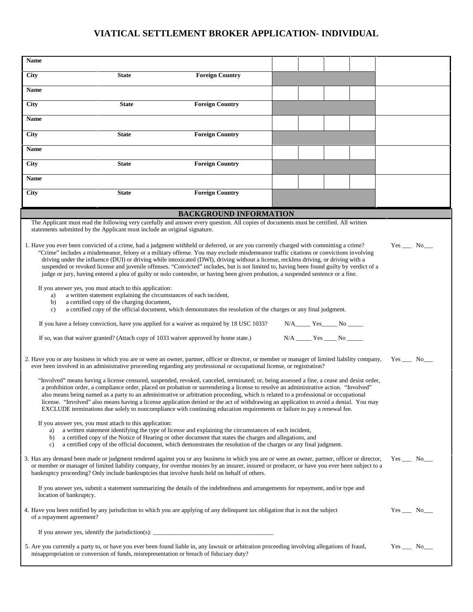# **VIATICAL SETTLEMENT BROKER APPLICATION- INDIVIDUAL**

| <b>Name</b>                                                                                                                                                                                                                                                                                                                                                                                                                                                                                                                                                                                                                                                                                                                                                                                                                                                                                                     |                                                                           |                                                                                                                                                                                                                                                                                                                                                                                                                                                                                                                                                                                                                                                                                                    |  |  |                                         |  |                 |
|-----------------------------------------------------------------------------------------------------------------------------------------------------------------------------------------------------------------------------------------------------------------------------------------------------------------------------------------------------------------------------------------------------------------------------------------------------------------------------------------------------------------------------------------------------------------------------------------------------------------------------------------------------------------------------------------------------------------------------------------------------------------------------------------------------------------------------------------------------------------------------------------------------------------|---------------------------------------------------------------------------|----------------------------------------------------------------------------------------------------------------------------------------------------------------------------------------------------------------------------------------------------------------------------------------------------------------------------------------------------------------------------------------------------------------------------------------------------------------------------------------------------------------------------------------------------------------------------------------------------------------------------------------------------------------------------------------------------|--|--|-----------------------------------------|--|-----------------|
| <b>City</b>                                                                                                                                                                                                                                                                                                                                                                                                                                                                                                                                                                                                                                                                                                                                                                                                                                                                                                     | <b>State</b>                                                              | <b>Foreign Country</b>                                                                                                                                                                                                                                                                                                                                                                                                                                                                                                                                                                                                                                                                             |  |  |                                         |  |                 |
| Name                                                                                                                                                                                                                                                                                                                                                                                                                                                                                                                                                                                                                                                                                                                                                                                                                                                                                                            |                                                                           |                                                                                                                                                                                                                                                                                                                                                                                                                                                                                                                                                                                                                                                                                                    |  |  |                                         |  |                 |
| <b>City</b>                                                                                                                                                                                                                                                                                                                                                                                                                                                                                                                                                                                                                                                                                                                                                                                                                                                                                                     | <b>State</b>                                                              | <b>Foreign Country</b>                                                                                                                                                                                                                                                                                                                                                                                                                                                                                                                                                                                                                                                                             |  |  |                                         |  |                 |
| Name                                                                                                                                                                                                                                                                                                                                                                                                                                                                                                                                                                                                                                                                                                                                                                                                                                                                                                            |                                                                           |                                                                                                                                                                                                                                                                                                                                                                                                                                                                                                                                                                                                                                                                                                    |  |  |                                         |  |                 |
| <b>City</b>                                                                                                                                                                                                                                                                                                                                                                                                                                                                                                                                                                                                                                                                                                                                                                                                                                                                                                     | <b>State</b>                                                              | <b>Foreign Country</b>                                                                                                                                                                                                                                                                                                                                                                                                                                                                                                                                                                                                                                                                             |  |  |                                         |  |                 |
| <b>Name</b>                                                                                                                                                                                                                                                                                                                                                                                                                                                                                                                                                                                                                                                                                                                                                                                                                                                                                                     |                                                                           |                                                                                                                                                                                                                                                                                                                                                                                                                                                                                                                                                                                                                                                                                                    |  |  |                                         |  |                 |
| City                                                                                                                                                                                                                                                                                                                                                                                                                                                                                                                                                                                                                                                                                                                                                                                                                                                                                                            | <b>State</b>                                                              | <b>Foreign Country</b>                                                                                                                                                                                                                                                                                                                                                                                                                                                                                                                                                                                                                                                                             |  |  |                                         |  |                 |
| Name                                                                                                                                                                                                                                                                                                                                                                                                                                                                                                                                                                                                                                                                                                                                                                                                                                                                                                            |                                                                           |                                                                                                                                                                                                                                                                                                                                                                                                                                                                                                                                                                                                                                                                                                    |  |  |                                         |  |                 |
| <b>City</b>                                                                                                                                                                                                                                                                                                                                                                                                                                                                                                                                                                                                                                                                                                                                                                                                                                                                                                     | <b>State</b>                                                              | <b>Foreign Country</b>                                                                                                                                                                                                                                                                                                                                                                                                                                                                                                                                                                                                                                                                             |  |  |                                         |  |                 |
|                                                                                                                                                                                                                                                                                                                                                                                                                                                                                                                                                                                                                                                                                                                                                                                                                                                                                                                 |                                                                           | <b>BACKGROUND INFORMATION</b>                                                                                                                                                                                                                                                                                                                                                                                                                                                                                                                                                                                                                                                                      |  |  |                                         |  |                 |
|                                                                                                                                                                                                                                                                                                                                                                                                                                                                                                                                                                                                                                                                                                                                                                                                                                                                                                                 | statements submitted by the Applicant must include an original signature. | The Applicant must read the following very carefully and answer every question. All copies of documents must be certified. All written                                                                                                                                                                                                                                                                                                                                                                                                                                                                                                                                                             |  |  |                                         |  |                 |
| 1. Have you ever been convicted of a crime, had a judgment withheld or deferred, or are you currently charged with committing a crime?<br>$Yes$ No<br>"Crime" includes a misdemeanor, felony or a military offense. You may exclude misdemeanor traffic citations or convictions involving<br>driving under the influence (DUI) or driving while intoxicated (DWI), driving without a license, reckless driving, or driving with a<br>suspended or revoked license and juvenile offenses. "Convicted" includes, but is not limited to, having been found guilty by verdict of a<br>judge or jury, having entered a plea of guilty or nolo contendre, or having been given probation, a suspended sentence or a fine.<br>If you answer yes, you must attach to this application:<br>a written statement explaining the circumstances of each incident,<br>a)<br>a certified copy of the charging document,<br>b) |                                                                           |                                                                                                                                                                                                                                                                                                                                                                                                                                                                                                                                                                                                                                                                                                    |  |  |                                         |  |                 |
| c)                                                                                                                                                                                                                                                                                                                                                                                                                                                                                                                                                                                                                                                                                                                                                                                                                                                                                                              |                                                                           | a certified copy of the official document, which demonstrates the resolution of the charges or any final judgment.<br>If you have a felony conviction, have you applied for a waiver as required by 18 USC 1033?                                                                                                                                                                                                                                                                                                                                                                                                                                                                                   |  |  | N/A______ Yes______ No _____            |  |                 |
|                                                                                                                                                                                                                                                                                                                                                                                                                                                                                                                                                                                                                                                                                                                                                                                                                                                                                                                 |                                                                           | If so, was that waiver granted? (Attach copy of 1033 waiver approved by home state.)                                                                                                                                                                                                                                                                                                                                                                                                                                                                                                                                                                                                               |  |  | $N/A$ _________ Yes _______ No ________ |  |                 |
|                                                                                                                                                                                                                                                                                                                                                                                                                                                                                                                                                                                                                                                                                                                                                                                                                                                                                                                 |                                                                           | 2. Have you or any business in which you are or were an owner, partner, officer or director, or member or manager of limited liability company,<br>ever been involved in an administrative proceeding regarding any professional or occupational license, or registration?                                                                                                                                                                                                                                                                                                                                                                                                                         |  |  |                                         |  | $Yes$ No        |
|                                                                                                                                                                                                                                                                                                                                                                                                                                                                                                                                                                                                                                                                                                                                                                                                                                                                                                                 |                                                                           | "Involved" means having a license censured, suspended, revoked, canceled, terminated; or, being assessed a fine, a cease and desist order,<br>a prohibition order, a compliance order, placed on probation or surrendering a license to resolve an administrative action. "Involved"<br>also means being named as a party to an administrative or arbitration proceeding, which is related to a professional or occupational<br>license. "Involved" also means having a license application denied or the act of withdrawing an application to avoid a denial. You may<br>EXCLUDE terminations due solely to noncompliance with continuing education requirements or failure to pay a renewal fee. |  |  |                                         |  |                 |
| a)<br>b)<br>c)                                                                                                                                                                                                                                                                                                                                                                                                                                                                                                                                                                                                                                                                                                                                                                                                                                                                                                  | If you answer yes, you must attach to this application:                   | a written statement identifying the type of license and explaining the circumstances of each incident,<br>a certified copy of the Notice of Hearing or other document that states the charges and allegations, and<br>a certified copy of the official document, which demonstrates the resolution of the charges or any final judgment.                                                                                                                                                                                                                                                                                                                                                           |  |  |                                         |  |                 |
|                                                                                                                                                                                                                                                                                                                                                                                                                                                                                                                                                                                                                                                                                                                                                                                                                                                                                                                 |                                                                           | 3. Has any demand been made or judgment rendered against you or any business in which you are or were an owner, partner, officer or director,<br>or member or manager of limited liability company, for overdue monies by an insurer, insured or producer, or have you ever been subject to a<br>bankruptcy proceeding? Only include bankruptcies that involve funds held on behalf of others.                                                                                                                                                                                                                                                                                                     |  |  |                                         |  | $Yes$ $No$      |
| location of bankruptcy.                                                                                                                                                                                                                                                                                                                                                                                                                                                                                                                                                                                                                                                                                                                                                                                                                                                                                         |                                                                           | If you answer yes, submit a statement summarizing the details of the indebtedness and arrangements for repayment, and/or type and                                                                                                                                                                                                                                                                                                                                                                                                                                                                                                                                                                  |  |  |                                         |  |                 |
| of a repayment agreement?                                                                                                                                                                                                                                                                                                                                                                                                                                                                                                                                                                                                                                                                                                                                                                                                                                                                                       |                                                                           | 4. Have you been notified by any jurisdiction to which you are applying of any delinquent tax obligation that is not the subject                                                                                                                                                                                                                                                                                                                                                                                                                                                                                                                                                                   |  |  |                                         |  | $Yes$ $No$ $No$ |
|                                                                                                                                                                                                                                                                                                                                                                                                                                                                                                                                                                                                                                                                                                                                                                                                                                                                                                                 |                                                                           |                                                                                                                                                                                                                                                                                                                                                                                                                                                                                                                                                                                                                                                                                                    |  |  |                                         |  |                 |
|                                                                                                                                                                                                                                                                                                                                                                                                                                                                                                                                                                                                                                                                                                                                                                                                                                                                                                                 |                                                                           | 5. Are you currently a party to, or have you ever been found liable in, any lawsuit or arbitration proceeding involving allegations of fraud,<br>misappropriation or conversion of funds, misrepresentation or breach of fiduciary duty?                                                                                                                                                                                                                                                                                                                                                                                                                                                           |  |  |                                         |  | $Yes$ $No$ $No$ |